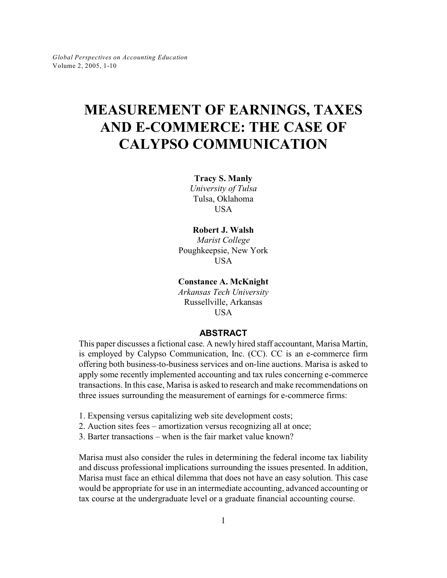# **MEASUREMENT OF EARNINGS, TAXES AND E-COMMERCE: THE CASE OF CALYPSO COMMUNICATION**

**Tracy S. Manly** *University of Tulsa* Tulsa, Oklahoma USA

## **Robert J. Walsh**

*Marist College* Poughkeepsie, New York USA

**Constance A. McKnight**

*Arkansas Tech University* Russellville, Arkansas **USA** 

## **ABSTRACT**

This paper discusses a fictional case. A newly hired staff accountant, Marisa Martin, is employed by Calypso Communication, Inc. (CC). CC is an e-commerce firm offering both business-to-business services and on-line auctions. Marisa is asked to apply some recently implemented accounting and tax rules concerning e-commerce transactions. In this case, Marisa is asked to research and make recommendations on three issues surrounding the measurement of earnings for e-commerce firms:

- 1. Expensing versus capitalizing web site development costs;
- 2. Auction sites fees amortization versus recognizing all at once;
- 3. Barter transactions when is the fair market value known?

Marisa must also consider the rules in determining the federal income tax liability and discuss professional implications surrounding the issues presented. In addition, Marisa must face an ethical dilemma that does not have an easy solution. This case would be appropriate for use in an intermediate accounting, advanced accounting or tax course at the undergraduate level or a graduate financial accounting course.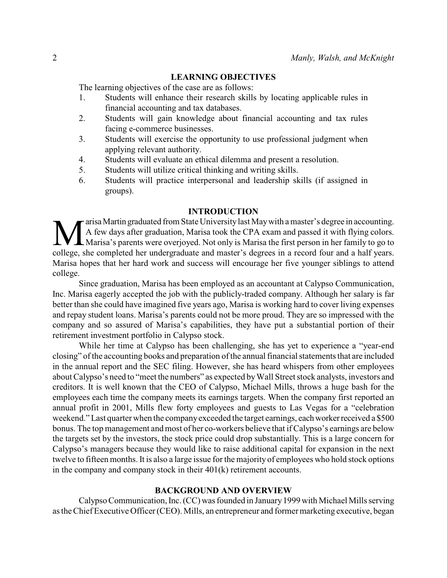## **LEARNING OBJECTIVES**

The learning objectives of the case are as follows:

- 1. Students will enhance their research skills by locating applicable rules in financial accounting and tax databases.
- 2. Students will gain knowledge about financial accounting and tax rules facing e-commerce businesses.
- 3. Students will exercise the opportunity to use professional judgment when applying relevant authority.
- 4. Students will evaluate an ethical dilemma and present a resolution.
- 5. Students will utilize critical thinking and writing skills.
- 6. Students will practice interpersonal and leadership skills (if assigned in groups).

## **INTRODUCTION**

**MA** arisa Martin graduated from State University last May with a master's degree in accounting.<br>A few days after graduation, Marisa took the CPA exam and passed it with flying colors.<br>College, she completed her undergradu arisa Martin graduated from State University last May with a master's degree in accounting. A few days after graduation, Marisa took the CPA exam and passed it with flying colors. Marisa's parents were overjoyed. Not only is Marisa the first person in her family to go to Marisa hopes that her hard work and success will encourage her five younger siblings to attend college.

Since graduation, Marisa has been employed as an accountant at Calypso Communication, Inc. Marisa eagerly accepted the job with the publicly-traded company. Although her salary is far better than she could have imagined five years ago, Marisa is working hard to cover living expenses and repay student loans. Marisa's parents could not be more proud. They are so impressed with the company and so assured of Marisa's capabilities, they have put a substantial portion of their retirement investment portfolio in Calypso stock.

While her time at Calypso has been challenging, she has yet to experience a "year-end closing" of the accounting books and preparation of the annual financial statements that are included in the annual report and the SEC filing. However, she has heard whispers from other employees about Calypso's need to "meet the numbers" as expected by Wall Street stock analysts, investors and creditors. It is well known that the CEO of Calypso, Michael Mills, throws a huge bash for the employees each time the company meets its earnings targets. When the company first reported an annual profit in 2001, Mills flew forty employees and guests to Las Vegas for a "celebration weekend." Last quarter when the company exceeded the target earnings, each worker received a \$500 bonus. The top management and most of her co-workers believe that if Calypso's earnings are below the targets set by the investors, the stock price could drop substantially. This is a large concern for Calypso's managers because they would like to raise additional capital for expansion in the next twelve to fifteen months. It is also a large issue for the majority of employees who hold stock options in the company and company stock in their 401(k) retirement accounts.

# **BACKGROUND AND OVERVIEW**

Calypso Communication, Inc. (CC) was founded in January 1999 with Michael Mills serving as the Chief Executive Officer (CEO). Mills, an entrepreneur and former marketing executive, began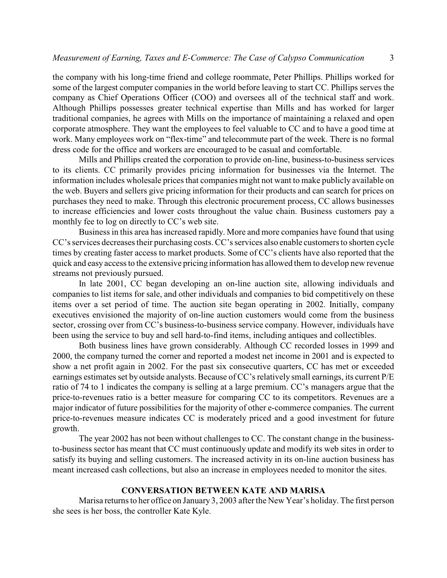the company with his long-time friend and college roommate, Peter Phillips. Phillips worked for some of the largest computer companies in the world before leaving to start CC. Phillips serves the company as Chief Operations Officer (COO) and oversees all of the technical staff and work. Although Phillips possesses greater technical expertise than Mills and has worked for larger traditional companies, he agrees with Mills on the importance of maintaining a relaxed and open corporate atmosphere. They want the employees to feel valuable to CC and to have a good time at work. Many employees work on "flex-time" and telecommute part of the week. There is no formal dress code for the office and workers are encouraged to be casual and comfortable.

Mills and Phillips created the corporation to provide on-line, business-to-business services to its clients. CC primarily provides pricing information for businesses via the Internet. The information includes wholesale prices that companies might not want to make publicly available on the web. Buyers and sellers give pricing information for their products and can search for prices on purchases they need to make. Through this electronic procurement process, CC allows businesses to increase efficiencies and lower costs throughout the value chain. Business customers pay a monthly fee to log on directly to CC's web site.

Business in this area has increased rapidly. More and more companies have found that using CC's services decreases their purchasing costs.CC's services also enable customers to shorten cycle times by creating faster access to market products. Some of CC's clients have also reported that the quick and easy access to the extensive pricing information has allowed them to develop new revenue streams not previously pursued.

In late 2001, CC began developing an on-line auction site, allowing individuals and companies to list items for sale, and other individuals and companies to bid competitively on these items over a set period of time. The auction site began operating in 2002. Initially, company executives envisioned the majority of on-line auction customers would come from the business sector, crossing over from CC's business-to-business service company. However, individuals have been using the service to buy and sell hard-to-find items, including antiques and collectibles.

Both business lines have grown considerably. Although CC recorded losses in 1999 and 2000, the company turned the corner and reported a modest net income in 2001 and is expected to show a net profit again in 2002. For the past six consecutive quarters, CC has met or exceeded earnings estimates set by outside analysts. Because of CC's relatively small earnings, its current P/E ratio of 74 to 1 indicates the company is selling at a large premium. CC's managers argue that the price-to-revenues ratio is a better measure for comparing CC to its competitors. Revenues are a major indicator of future possibilities for the majority of other e-commerce companies. The current price-to-revenues measure indicates CC is moderately priced and a good investment for future growth.

The year 2002 has not been without challenges to CC. The constant change in the businessto-business sector has meant that CC must continuously update and modify its web sites in order to satisfy its buying and selling customers. The increased activity in its on-line auction business has meant increased cash collections, but also an increase in employees needed to monitor the sites.

## **CONVERSATION BETWEEN KATE AND MARISA**

Marisa returns to her office on January 3, 2003 after the New Year's holiday. The first person she sees is her boss, the controller Kate Kyle.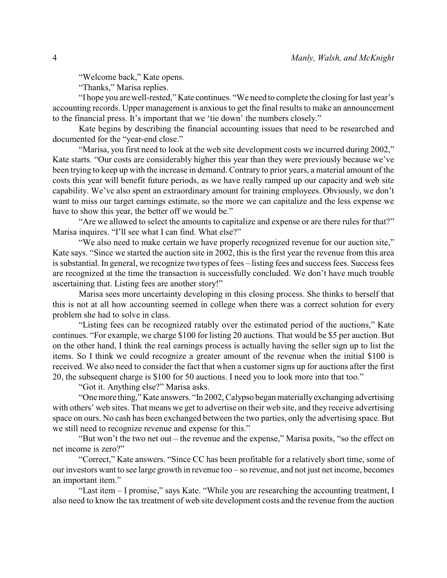"Welcome back," Kate opens.

"Thanks," Marisa replies.

"I hope you are well-rested," Kate continues. "We need to complete the closing for last year's accounting records. Upper management is anxious to get the final results to make an announcement to the financial press. It's important that we 'tie down' the numbers closely."

Kate begins by describing the financial accounting issues that need to be researched and documented for the "year-end close."

"Marisa, you first need to look at the web site development costs we incurred during 2002," Kate starts. "Our costs are considerably higher this year than they were previously because we've been trying to keep up with the increase in demand. Contrary to prior years, a material amount of the costs this year will benefit future periods, as we have really ramped up our capacity and web site capability. We've also spent an extraordinary amount for training employees. Obviously, we don't want to miss our target earnings estimate, so the more we can capitalize and the less expense we have to show this year, the better off we would be."

"Are we allowed to select the amounts to capitalize and expense or are there rules for that?" Marisa inquires. "I'll see what I can find. What else?"

"We also need to make certain we have properly recognized revenue for our auction site," Kate says. "Since we started the auction site in 2002, this is the first year the revenue from this area is substantial. In general, we recognize two types of fees – listing fees and success fees. Success fees are recognized at the time the transaction is successfully concluded. We don't have much trouble ascertaining that. Listing fees are another story!"

Marisa sees more uncertainty developing in this closing process. She thinks to herself that this is not at all how accounting seemed in college when there was a correct solution for every problem she had to solve in class.

"Listing fees can be recognized ratably over the estimated period of the auctions," Kate continues. "For example, we charge \$100 for listing 20 auctions. That would be \$5 per auction. But on the other hand, I think the real earnings process is actually having the seller sign up to list the items. So I think we could recognize a greater amount of the revenue when the initial \$100 is received. We also need to consider the fact that when a customer signs up for auctions after the first 20, the subsequent charge is \$100 for 50 auctions. I need you to look more into that too."

"Got it. Anything else?" Marisa asks.

"One more thing," Kate answers. "In 2002, Calypso began materially exchanging advertising with others' web sites. That means we get to advertise on their web site, and they receive advertising space on ours. No cash has been exchanged between the two parties, only the advertising space. But we still need to recognize revenue and expense for this."

"But won't the two net out – the revenue and the expense," Marisa posits, "so the effect on net income is zero?"

"Correct," Kate answers. "Since CC has been profitable for a relatively short time, some of our investors want to see large growth in revenue too – so revenue, and not just net income, becomes an important item."

"Last item – I promise," says Kate. "While you are researching the accounting treatment, I also need to know the tax treatment of web site development costs and the revenue from the auction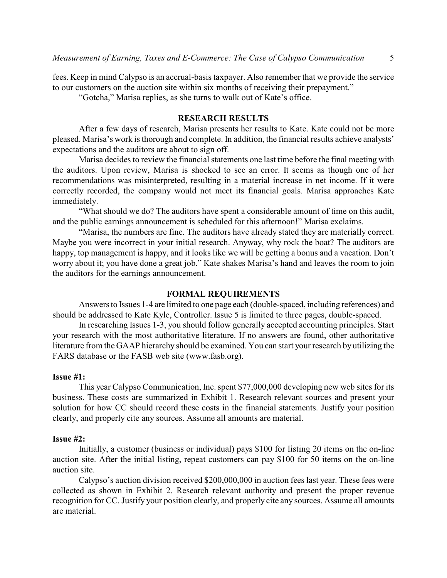fees. Keep in mind Calypso is an accrual-basis taxpayer. Also remember that we provide the service to our customers on the auction site within six months of receiving their prepayment."

"Gotcha," Marisa replies, as she turns to walk out of Kate's office.

### **RESEARCH RESULTS**

After a few days of research, Marisa presents her results to Kate. Kate could not be more pleased. Marisa's work is thorough and complete. In addition, the financial results achieve analysts' expectations and the auditors are about to sign off.

Marisa decides to review the financial statements one last time before the final meeting with the auditors. Upon review, Marisa is shocked to see an error. It seems as though one of her recommendations was misinterpreted, resulting in a material increase in net income. If it were correctly recorded, the company would not meet its financial goals. Marisa approaches Kate immediately.

"What should we do? The auditors have spent a considerable amount of time on this audit, and the public earnings announcement is scheduled for this afternoon!" Marisa exclaims.

"Marisa, the numbers are fine. The auditors have already stated they are materially correct. Maybe you were incorrect in your initial research. Anyway, why rock the boat? The auditors are happy, top management is happy, and it looks like we will be getting a bonus and a vacation. Don't worry about it; you have done a great job." Kate shakes Marisa's hand and leaves the room to join the auditors for the earnings announcement.

## **FORMAL REQUIREMENTS**

Answers to Issues 1-4 are limited to one page each (double-spaced, including references) and should be addressed to Kate Kyle, Controller. Issue 5 is limited to three pages, double-spaced.

In researching Issues 1-3, you should follow generally accepted accounting principles. Start your research with the most authoritative literature. If no answers are found, other authoritative literature from the GAAP hierarchy should be examined. You can start your research by utilizing the FARS database or the FASB web site (www.fasb.org).

## **Issue #1:**

This year Calypso Communication, Inc. spent \$77,000,000 developing new web sites for its business. These costs are summarized in Exhibit 1. Research relevant sources and present your solution for how CC should record these costs in the financial statements. Justify your position clearly, and properly cite any sources. Assume all amounts are material.

## **Issue #2:**

Initially, a customer (business or individual) pays \$100 for listing 20 items on the on-line auction site. After the initial listing, repeat customers can pay \$100 for 50 items on the on-line auction site.

Calypso's auction division received \$200,000,000 in auction fees last year. These fees were collected as shown in Exhibit 2. Research relevant authority and present the proper revenue recognition for CC. Justify your position clearly, and properly cite any sources. Assume all amounts are material.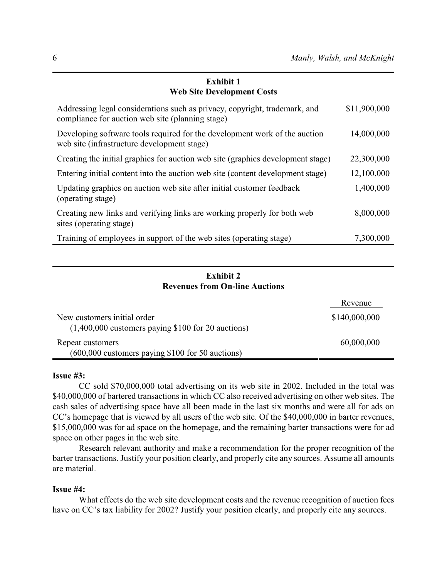# **Exhibit 1 Web Site Development Costs**

| Addressing legal considerations such as privacy, copyright, trademark, and<br>compliance for auction web site (planning stage) | \$11,900,000 |
|--------------------------------------------------------------------------------------------------------------------------------|--------------|
| Developing software tools required for the development work of the auction<br>web site (infrastructure development stage)      | 14,000,000   |
| Creating the initial graphics for auction web site (graphics development stage)                                                | 22,300,000   |
| Entering initial content into the auction web site (content development stage)                                                 | 12,100,000   |
| Updating graphics on auction web site after initial customer feedback<br>(operating stage)                                     | 1,400,000    |
| Creating new links and verifying links are working properly for both web<br>sites (operating stage)                            | 8,000,000    |
| Training of employees in support of the web sites (operating stage)                                                            | 7,300,000    |

# **Exhibit 2 Revenues from On-line Auctions**

|                                                                                     | Revenue       |
|-------------------------------------------------------------------------------------|---------------|
| New customers initial order<br>$(1,400,000$ customers paying \$100 for 20 auctions) | \$140,000,000 |
| Repeat customers<br>(600,000 customers paying \$100 for 50 auctions)                | 60,000,000    |

## **Issue #3:**

CC sold \$70,000,000 total advertising on its web site in 2002. Included in the total was \$40,000,000 of bartered transactions in which CC also received advertising on other web sites. The cash sales of advertising space have all been made in the last six months and were all for ads on CC's homepage that is viewed by all users of the web site. Of the \$40,000,000 in barter revenues, \$15,000,000 was for ad space on the homepage, and the remaining barter transactions were for ad space on other pages in the web site.

Research relevant authority and make a recommendation for the proper recognition of the barter transactions. Justify your position clearly, and properly cite any sources. Assume all amounts are material.

# **Issue #4:**

What effects do the web site development costs and the revenue recognition of auction fees have on CC's tax liability for 2002? Justify your position clearly, and properly cite any sources.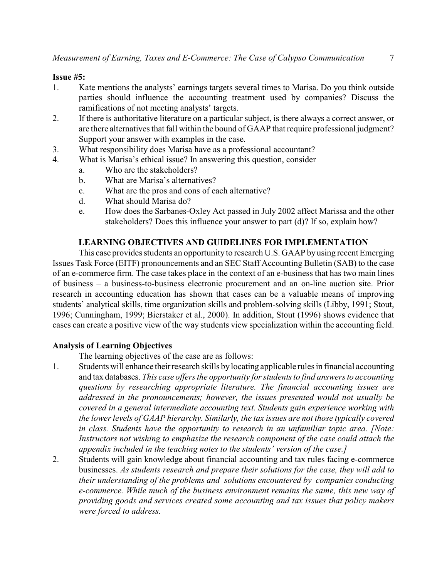## **Issue #5:**

- 1. Kate mentions the analysts' earnings targets several times to Marisa. Do you think outside parties should influence the accounting treatment used by companies? Discuss the ramifications of not meeting analysts' targets.
- 2. If there is authoritative literature on a particular subject, is there always a correct answer, or are there alternatives that fall within the bound of GAAP that require professional judgment? Support your answer with examples in the case.
- 3. What responsibility does Marisa have as a professional accountant?
- 4. What is Marisa's ethical issue? In answering this question, consider
	- a. Who are the stakeholders?
	- b. What are Marisa's alternatives?
	- c. What are the pros and cons of each alternative?
	- d. What should Marisa do?
	- e. How does the Sarbanes-Oxley Act passed in July 2002 affect Marissa and the other stakeholders? Does this influence your answer to part (d)? If so, explain how?

# **LEARNING OBJECTIVES AND GUIDELINES FOR IMPLEMENTATION**

This case provides students an opportunity to research U.S. GAAP by using recent Emerging Issues Task Force (EITF) pronouncements and an SEC Staff Accounting Bulletin (SAB) to the case of an e-commerce firm. The case takes place in the context of an e-business that has two main lines of business – a business-to-business electronic procurement and an on-line auction site. Prior research in accounting education has shown that cases can be a valuable means of improving students' analytical skills, time organization skills and problem-solving skills (Libby, 1991; Stout, 1996; Cunningham, 1999; Bierstaker et al., 2000). In addition, Stout (1996) shows evidence that cases can create a positive view of the way students view specialization within the accounting field.

# **Analysis of Learning Objectives**

The learning objectives of the case are as follows:

- 1. Students will enhance their research skills by locating applicable rules in financial accounting and tax databases. *This case offers the opportunity for students to find answers to accounting questions by researching appropriate literature. The financial accounting issues are addressed in the pronouncements; however, the issues presented would not usually be covered in a general intermediate accounting text. Students gain experience working with the lower levels of GAAP hierarchy. Similarly, the tax issues are not those typically covered in class. Students have the opportunity to research in an unfamiliar topic area. [Note: Instructors not wishing to emphasize the research component of the case could attach the appendix included in the teaching notes to the students' version of the case.]*
- 2. Students will gain knowledge about financial accounting and tax rules facing e-commerce businesses. *As students research and prepare their solutions for the case, they will add to their understanding of the problems and solutions encountered by companies conducting e-commerce. While much of the business environment remains the same, this new way of providing goods and services created some accounting and tax issues that policy makers were forced to address.*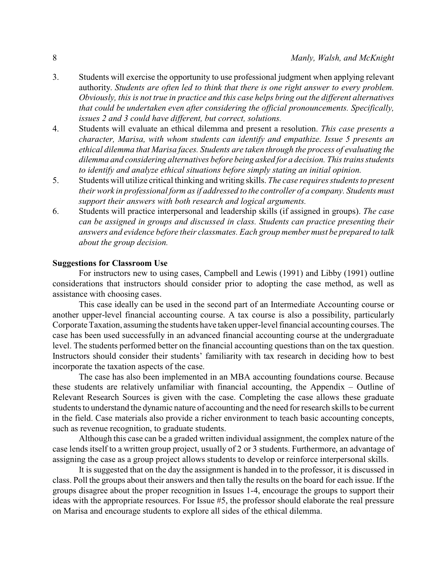- 3. Students will exercise the opportunity to use professional judgment when applying relevant authority. *Students are often led to think that there is one right answer to every problem. Obviously, this is not true in practice and this case helps bring out the different alternatives that could be undertaken even after considering the official pronouncements. Specifically, issues 2 and 3 could have different, but correct, solutions.*
- 4. Students will evaluate an ethical dilemma and present a resolution. *This case presents a character, Marisa, with whom students can identify and empathize. Issue 5 presents an ethical dilemma that Marisa faces. Students are taken through the process of evaluating the dilemma and considering alternatives before being asked for a decision. This trains students to identify and analyze ethical situations before simply stating an initial opinion.*
- 5. Students will utilize critical thinking and writing skills. *The case requires students to present their work in professional form as if addressed to the controller of a company. Students must support their answers with both research and logical arguments.*
- 6. Students will practice interpersonal and leadership skills (if assigned in groups). *The case can be assigned in groups and discussed in class. Students can practice presenting their answers and evidence before their classmates. Each group member must be prepared to talk about the group decision.*

## **Suggestions for Classroom Use**

For instructors new to using cases, Campbell and Lewis (1991) and Libby (1991) outline considerations that instructors should consider prior to adopting the case method, as well as assistance with choosing cases.

This case ideally can be used in the second part of an Intermediate Accounting course or another upper-level financial accounting course. A tax course is also a possibility, particularly Corporate Taxation, assuming the students have taken upper-level financial accounting courses. The case has been used successfully in an advanced financial accounting course at the undergraduate level. The students performed better on the financial accounting questions than on the tax question. Instructors should consider their students' familiarity with tax research in deciding how to best incorporate the taxation aspects of the case.

The case has also been implemented in an MBA accounting foundations course. Because these students are relatively unfamiliar with financial accounting, the Appendix – Outline of Relevant Research Sources is given with the case. Completing the case allows these graduate students to understand the dynamic nature of accounting and the need for research skills to be current in the field. Case materials also provide a richer environment to teach basic accounting concepts, such as revenue recognition, to graduate students.

Although this case can be a graded written individual assignment, the complex nature of the case lends itself to a written group project, usually of 2 or 3 students. Furthermore, an advantage of assigning the case as a group project allows students to develop or reinforce interpersonal skills.

It is suggested that on the day the assignment is handed in to the professor, it is discussed in class. Poll the groups about their answers and then tally the results on the board for each issue. If the groups disagree about the proper recognition in Issues 1-4, encourage the groups to support their ideas with the appropriate resources. For Issue #5, the professor should elaborate the real pressure on Marisa and encourage students to explore all sides of the ethical dilemma.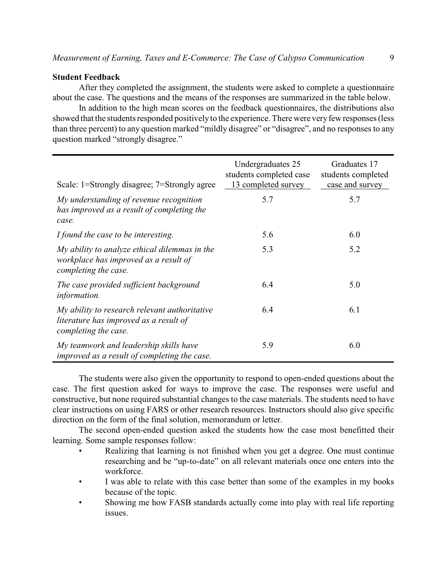## **Student Feedback**

After they completed the assignment, the students were asked to complete a questionnaire about the case. The questions and the means of the responses are summarized in the table below.

In addition to the high mean scores on the feedback questionnaires, the distributions also showed that the students responded positively to the experience. There were very few responses (less than three percent) to any question marked "mildly disagree" or "disagree", and no responses to any question marked "strongly disagree."

| Scale: 1=Strongly disagree; 7=Strongly agree                                                                    | Undergraduates 25<br>students completed case<br>13 completed survey | Graduates 17<br>students completed<br>case and survey |
|-----------------------------------------------------------------------------------------------------------------|---------------------------------------------------------------------|-------------------------------------------------------|
| My understanding of revenue recognition<br>has improved as a result of completing the<br>case.                  | 5.7                                                                 | 5.7                                                   |
| I found the case to be interesting.                                                                             | 5.6                                                                 | 6.0                                                   |
| My ability to analyze ethical dilemmas in the<br>workplace has improved as a result of<br>completing the case.  | 5.3                                                                 | 5.2                                                   |
| The case provided sufficient background<br>information.                                                         | 6.4                                                                 | 5.0                                                   |
| My ability to research relevant authoritative<br>literature has improved as a result of<br>completing the case. | 6.4                                                                 | 6.1                                                   |
| My teamwork and leadership skills have<br>improved as a result of completing the case.                          | 5.9                                                                 | 6.0                                                   |

The students were also given the opportunity to respond to open-ended questions about the case. The first question asked for ways to improve the case. The responses were useful and constructive, but none required substantial changes to the case materials. The students need to have clear instructions on using FARS or other research resources. Instructors should also give specific direction on the form of the final solution, memorandum or letter.

The second open-ended question asked the students how the case most benefitted their learning. Some sample responses follow:

- Realizing that learning is not finished when you get a degree. One must continue researching and be "up-to-date" on all relevant materials once one enters into the workforce.
- I was able to relate with this case better than some of the examples in my books because of the topic.
- Showing me how FASB standards actually come into play with real life reporting issues.